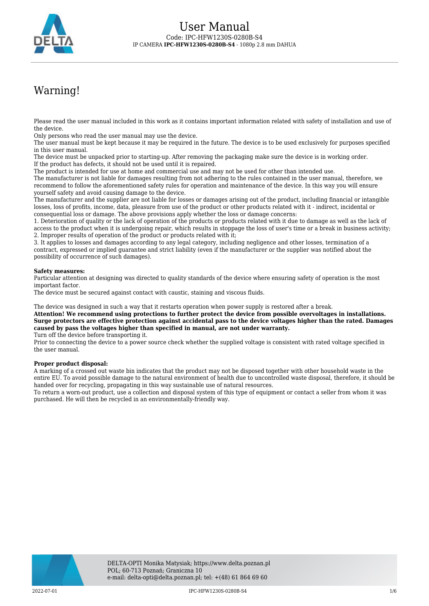

# Warning!

Please read the user manual included in this work as it contains important information related with safety of installation and use of the device.

Only persons who read the user manual may use the device.

The user manual must be kept because it may be required in the future. The device is to be used exclusively for purposes specified in this user manual.

The device must be unpacked prior to starting-up. After removing the packaging make sure the device is in working order. If the product has defects, it should not be used until it is repaired.

The product is intended for use at home and commercial use and may not be used for other than intended use.

The manufacturer is not liable for damages resulting from not adhering to the rules contained in the user manual, therefore, we recommend to follow the aforementioned safety rules for operation and maintenance of the device. In this way you will ensure yourself safety and avoid causing damage to the device.

The manufacturer and the supplier are not liable for losses or damages arising out of the product, including financial or intangible losses, loss of profits, income, data, pleasure from use of the product or other products related with it - indirect, incidental or consequential loss or damage. The above provisions apply whether the loss or damage concerns:

1. Deterioration of quality or the lack of operation of the products or products related with it due to damage as well as the lack of access to the product when it is undergoing repair, which results in stoppage the loss of user's time or a break in business activity; 2. Improper results of operation of the product or products related with it;

3. It applies to losses and damages according to any legal category, including negligence and other losses, termination of a contract, expressed or implied guarantee and strict liability (even if the manufacturer or the supplier was notified about the possibility of occurrence of such damages).

#### **Safety measures:**

Particular attention at designing was directed to quality standards of the device where ensuring safety of operation is the most important factor.

The device must be secured against contact with caustic, staining and viscous fluids.

The device was designed in such a way that it restarts operation when power supply is restored after a break.

**Attention! We recommend using protections to further protect the device from possible overvoltages in installations. Surge protectors are effective protection against accidental pass to the device voltages higher than the rated. Damages caused by pass the voltages higher than specified in manual, are not under warranty.**

Turn off the device before transporting it.

Prior to connecting the device to a power source check whether the supplied voltage is consistent with rated voltage specified in the user manual.

#### **Proper product disposal:**

A marking of a crossed out waste bin indicates that the product may not be disposed together with other household waste in the entire EU. To avoid possible damage to the natural environment of health due to uncontrolled waste disposal, therefore, it should be handed over for recycling, propagating in this way sustainable use of natural resources.

To return a worn-out product, use a collection and disposal system of this type of equipment or contact a seller from whom it was purchased. He will then be recycled in an environmentally-friendly way.

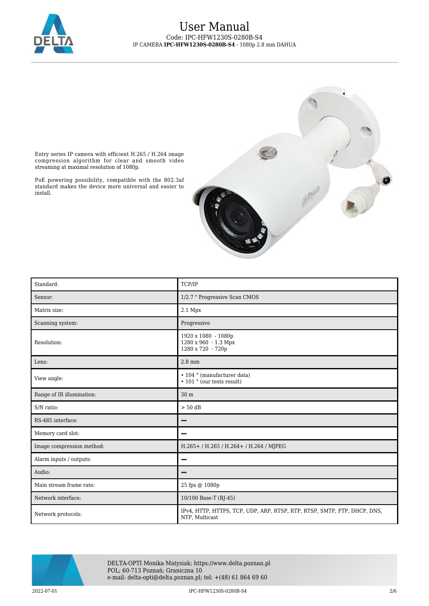

### User Manual Code: IPC-HFW1230S-0280B-S4 IP CAMERA **IPC-HFW1230S-0280B-S4** - 1080p 2.8 mm DAHUA



Entry series IP camera with efficient H.265 / H.264 image compression algorithm for clear and smooth video streaming at maximal resolution of 1080p.

PoE powering possibility, compatible with the 802.3af standard makes the device more universal and easier to install.

| Standard:                 | TCP/IP                                                                                     |  |
|---------------------------|--------------------------------------------------------------------------------------------|--|
| Sensor:                   | 1/2.7 " Progressive Scan CMOS                                                              |  |
| Matrix size:              | $2.1$ Mpx                                                                                  |  |
| Scanning system:          | Progressive                                                                                |  |
| Resolution:               | 1920 x 1080 - 1080p<br>1280 x 960 - 1.3 Mpx<br>1280 x 720 - 720p                           |  |
| Lens:                     | $2.8 \text{ mm}$                                                                           |  |
| View angle:               | • 104 ° (manufacturer data)<br>$\cdot$ 101 $\degree$ (our tests result)                    |  |
| Range of IR illumination: | 30 m                                                                                       |  |
| S/N ratio:                | $> 50$ dB                                                                                  |  |
| RS-485 interface:         |                                                                                            |  |
| Memory card slot:         |                                                                                            |  |
| Image compression method: | H.265+ / H.265 / H.264+ / H.264 / MJPEG                                                    |  |
| Alarm inputs / outputs:   |                                                                                            |  |
| Audio:                    |                                                                                            |  |
| Main stream frame rate:   | 25 fps @ 1080p                                                                             |  |
| Network interface:        | 10/100 Base-T (RJ-45)                                                                      |  |
| Network protocols:        | IPv4, HTTP, HTTPS, TCP, UDP, ARP, RTSP, RTP, RTSP, SMTP, FTP, DHCP, DNS,<br>NTP, Multicast |  |



DELTA-OPTI Monika Matysiak; https://www.delta.poznan.pl POL; 60-713 Poznań; Graniczna 10 e-mail: delta-opti@delta.poznan.pl; tel: +(48) 61 864 69 60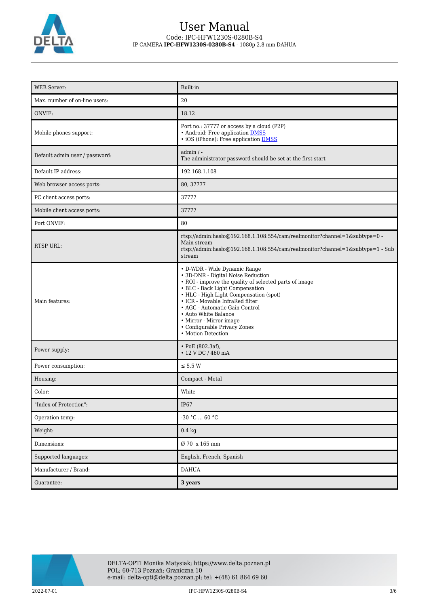

## User Manual Code: IPC-HFW1230S-0280B-S4 IP CAMERA **IPC-HFW1230S-0280B-S4** - 1080p 2.8 mm DAHUA

| <b>WEB</b> Server:             | Built-in                                                                                                                                                                                                                                                                                                                                                                                |  |
|--------------------------------|-----------------------------------------------------------------------------------------------------------------------------------------------------------------------------------------------------------------------------------------------------------------------------------------------------------------------------------------------------------------------------------------|--|
| Max. number of on-line users:  | 20                                                                                                                                                                                                                                                                                                                                                                                      |  |
| ONVIF:                         | 18.12                                                                                                                                                                                                                                                                                                                                                                                   |  |
| Mobile phones support:         | Port no.: 37777 or access by a cloud (P2P)<br>• Android: Free application DMSS<br>• iOS (iPhone): Free application <b>DMSS</b>                                                                                                                                                                                                                                                          |  |
| Default admin user / password: | $admin / -$<br>The administrator password should be set at the first start                                                                                                                                                                                                                                                                                                              |  |
| Default IP address:            | 192.168.1.108                                                                                                                                                                                                                                                                                                                                                                           |  |
| Web browser access ports:      | 80, 37777                                                                                                                                                                                                                                                                                                                                                                               |  |
| PC client access ports:        | 37777                                                                                                                                                                                                                                                                                                                                                                                   |  |
| Mobile client access ports:    | 37777                                                                                                                                                                                                                                                                                                                                                                                   |  |
| Port ONVIF:                    | 80                                                                                                                                                                                                                                                                                                                                                                                      |  |
| <b>RTSP URL:</b>               | rtsp://admin:hasło@192.168.1.108:554/cam/realmonitor?channel=1&subtype=0 -<br>Main stream<br>rtsp://admin:haslo@192.168.1.108:554/cam/realmonitor?channel=1&subtype=1 - Sub<br>stream                                                                                                                                                                                                   |  |
| Main features:                 | • D-WDR - Wide Dynamic Range<br>• 3D-DNR - Digital Noise Reduction<br>• ROI - improve the quality of selected parts of image<br>• BLC - Back Light Compensation<br>• HLC - High Light Compensation (spot)<br>• ICR - Movable InfraRed filter<br>• AGC - Automatic Gain Control<br>• Auto White Balance<br>• Mirror - Mirror image<br>• Configurable Privacy Zones<br>• Motion Detection |  |
| Power supply:                  | • PoE $(802.3af)$ ,<br>• 12 V DC / 460 mA                                                                                                                                                                                                                                                                                                                                               |  |
| Power consumption:             | $\le$ 5.5 W                                                                                                                                                                                                                                                                                                                                                                             |  |
| Housing:                       | Compact - Metal                                                                                                                                                                                                                                                                                                                                                                         |  |
| Color:                         | White                                                                                                                                                                                                                                                                                                                                                                                   |  |
| "Index of Protection":         | <b>IP67</b>                                                                                                                                                                                                                                                                                                                                                                             |  |
| Operation temp:                | -30 °C $\ldots$ 60 °C                                                                                                                                                                                                                                                                                                                                                                   |  |
| Weight:                        | $0.4\ \mathrm{kg}$                                                                                                                                                                                                                                                                                                                                                                      |  |
| Dimensions:                    | Ø 70 x 165 mm                                                                                                                                                                                                                                                                                                                                                                           |  |
| Supported languages:           | English, French, Spanish                                                                                                                                                                                                                                                                                                                                                                |  |
| Manufacturer / Brand:          | <b>DAHUA</b>                                                                                                                                                                                                                                                                                                                                                                            |  |
| Guarantee:                     | 3 years                                                                                                                                                                                                                                                                                                                                                                                 |  |

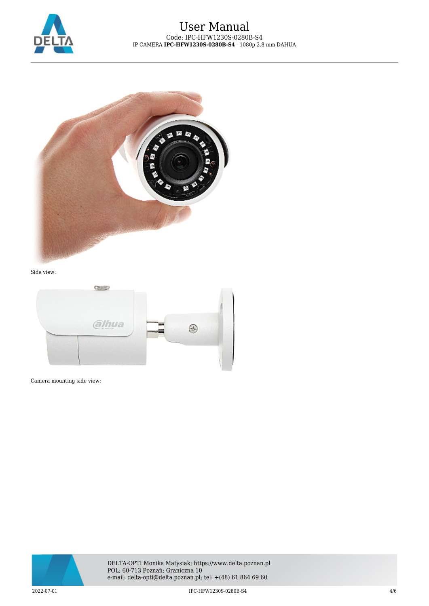

## User Manual Code: IPC-HFW1230S-0280B-S4 IP CAMERA **IPC-HFW1230S-0280B-S4** - 1080p 2.8 mm DAHUA



#### Side view:



Camera mounting side view:

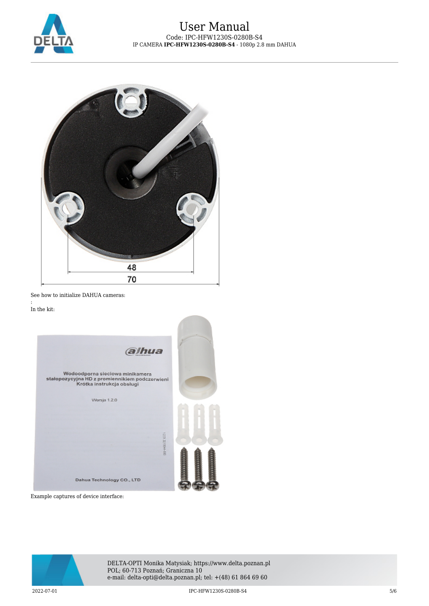



See how to initialize DAHUA cameras:

In the kit:

:

| alhua                                                                                                          |  |
|----------------------------------------------------------------------------------------------------------------|--|
| Wodoodporna sieciowa minikamera<br>stałopozycyjna HD z promiennikiem podczerwieni<br>Krótka instrukcja obsługi |  |
| Warsja 1.2.0                                                                                                   |  |
|                                                                                                                |  |
| 251221944-00                                                                                                   |  |
| Dahua Technology CO., LTD                                                                                      |  |

Example captures of device interface:



DELTA-OPTI Monika Matysiak; https://www.delta.poznan.pl POL; 60-713 Poznań; Graniczna 10 e-mail: delta-opti@delta.poznan.pl; tel: +(48) 61 864 69 60